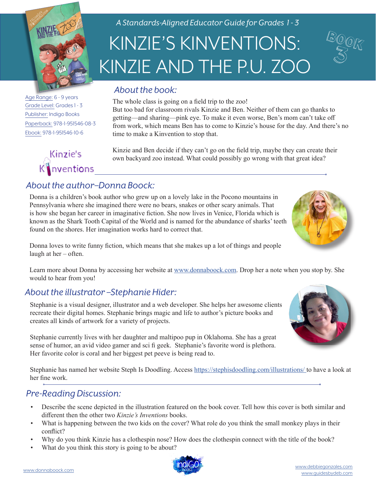

Age Range: 6 - 9 years Grade Level: Grades 1 - 3 Publisher: Indigo Books Paperback: 978-1-951546-08-3 Ebook: 978-1-951546-10-6

# Kinzie's  $K$  nventions

*A Standards-Aligned Educator Guide for Grades 1 - 3*

# KINZIE'S KINVENTIONS: KINZIE AND THE P.U. ZOO

BOOK 3

#### *About the book:*

The whole class is going on a field trip to the zoo! But too bad for classroom rivals Kinzie and Ben. Neither of them can go thanks to getting—and sharing—pink eye. To make it even worse, Ben's mom can't take off from work, which means Ben has to come to Kinzie's house for the day. And there's no time to make a Kinvention to stop that.

Kinzie and Ben decide if they can't go on the field trip, maybe they can create their own backyard zoo instead. What could possibly go wrong with that great idea?

## *About the author–Donna Boock:*

Donna is a children's book author who grew up on a lovely lake in the Pocono mountains in Pennsylvania where she imagined there were no bears, snakes or other scary animals. That is how she began her career in imaginative fiction. She now lives in Venice, Florida which is known as the Shark Tooth Capital of the World and is named for the abundance of sharks' teeth found on the shores. Her imagination works hard to correct that.



Donna loves to write funny fiction, which means that she makes up a lot of things and people laugh at her – often.

Learn more about Donna by accessing her website at [www.donnaboock.com.](https://www.donnaboock.com/) Drop her a note when you stop by. She would to hear from you!

#### *About the illustrator –Stephanie Hider:*

Stephanie is a visual designer, illustrator and a web developer. She helps her awesome clients recreate their digital homes. Stephanie brings magic and life to author's picture books and creates all kinds of artwork for a variety of projects.

Stephanie currently lives with her daughter and maltipoo pup in Oklahoma. She has a great sense of humor, an avid video gamer and sci fi geek. Stephanie's favorite word is plethora. Her favorite color is coral and her biggest pet peeve is being read to.

Stephanie has named her website Steph Is Doodling. Access<https://stephisdoodling.com/illustrations/>to have a look at her fine work.

#### *Pre-Reading Discussion:*

- Describe the scene depicted in the illustration featured on the book cover. Tell how this cover is both similar and different then the other two *Kinzie's Inventions* books.
- What is happening between the two kids on the cover? What role do you think the small monkey plays in their conflict?
- Why do you think Kinzie has a clothespin nose? How does the clothespin connect with the title of the book?
- What do you think this story is going to be about?

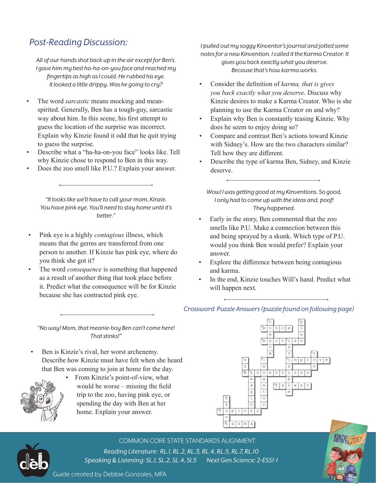### *Post-Reading Discussion:*

*All of our hands shot back up in the air except for Ben's. I gave him my best ha-ha-on-you face and reached my fingertips as high as I could. He rubbed his eye. It looked a little drippy. Was he going to cry?*

- The word *sarcastic* means mocking and meanspirited. Generally, Ben has a tough-guy, sarcastic way about him. In this scene, his first attempt to guess the location of the surprise was incorrect. Explain why Kinzie found it odd that he quit trying to guess the surprise.
- Describe what a "ha-ha-on-you face" looks like. Tell why Kinzie chose to respond to Ben in this way.
- Does the zoo smell like P.U.? Explain your answer.

*"It looks like we'll have to call your mom, Kinzie. You have pink eye. You'll need to stay home until it's better."*

- Pink eye is a highly *contagious* illness, which means that the germs are transferred from one person to another. If Kinzie has pink eye, where do you think she got it?
- The word *consequence* is something that happened as a result of another thing that took place before it. Predict what the consequence will be for Kinzie because she has contracted pink eye.

*I pulled out my soggy Kinventor's journal and jotted some notes for a new Kinvention. I called it the Karma Creator. It gives you back exactly what you deserve. Because that's how karma works.* 

- Consider the definition of *karma, that is gives you back exactly what you deserve*. Discuss why Kinzie desires to make a Karma Creator. Who is she planning to use the Karma Creator on and why?
- Explain why Ben is constantly teasing Kinzie. Why does he seem to enjoy doing so?
- Compare and contrast Ben's actions toward Kinzie with Sidney's. How are the two characters similar? Tell how they are different.
- Describe the type of karma Ben, Sidney, and Kinzie deserve.

*Wow! I was getting good at my Kinventions. So good, I only had to come up with the ideas and, poof! They happened.*

- Early in the story, Ben commented that the zoo smells like P.U. Make a connection between this and being sprayed by a skunk. Which type of P.U. would you think Ben would prefer? Explain your answer.
- Explore the difference between being contagious and karma.

*Crossword Puzzle Answers (puzzle found on following page)*

In the end, Kinzie touches Will's hand. Predict what will happen next.

*"No way! Mom, that meanie-boy Ben can't come here! That stinks!"*

• Ben is Kinzie's rival, her worst archenemy. Describe how Kinzie must have felt when she heard that Ben was coming to join at home for the day.



• From Kinzie's point-of-view, what would be worse – missing the field trip to the zoo, having pink eye, or spending the day with Ben at her home. Explain your answer.





COMMON CORE STATE STANDARDS ALIGNMENT:

*Reading Literature: RL.1, RL.2, RL.3, RL.4, RL.5, RL.7, RL.10 Speaking & Listening: SL.1, SL.2, SL.4, Sl.5 Next Gen Science: 2-ESS1-1* 



Guide created by Debbie Gonzales, MFA